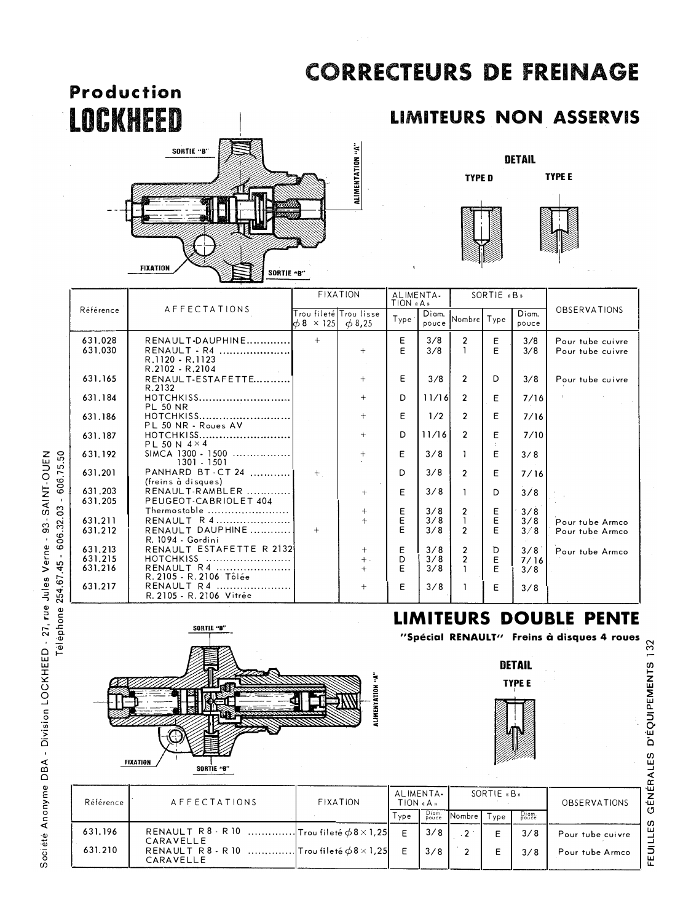## **CORRECTEURS DE FREINAGE**





## **LIMITEURS NON ASSERVIS**



|                                        | AFFECTATIONS<br>Référence | <b>FIXATION</b>                                      |                                           | ALIMENTA-<br>TION «A» |        | SORTIE «B»        |                                  |                |                     |                               |
|----------------------------------------|---------------------------|------------------------------------------------------|-------------------------------------------|-----------------------|--------|-------------------|----------------------------------|----------------|---------------------|-------------------------------|
|                                        |                           | Trou fileté Trou lisse<br>$\phi$ 8 × 125 $\phi$ 8,25 |                                           | Type <sub>i</sub>     | Diam.  | pouce Nombre Type |                                  | Diam.<br>pouce | <b>OBSERVATIONS</b> |                               |
|                                        | 631.028                   | RENAULT-DAUPHINE                                     | $+$                                       |                       | E      | 3/8               | $\overline{2}$                   | E              | 3/8                 | Pour tube cuivre              |
|                                        | 631.030                   | RENAULT - R4<br>R.1120 - R.1123<br>R.2102 - R.2104   |                                           | $+$                   | E      | 3/8               |                                  | E              | 3/8                 | Pour tube cuivre              |
|                                        | 631.165                   | R.2102 - R.2104<br>RENAULT-ESTAFETTE<br>R.2132       |                                           | $+$                   | E      | 3/8               | $\mathcal{P}$                    | D              | 3/8                 | Pour tube cuivre              |
|                                        | 631.184                   | HOTCHKISS<br><b>PL 50 NR</b>                         |                                           | $^{+}$                | D.     | 11/16             | 2                                | E              | 7/16                |                               |
|                                        | 631.186                   | PL 50 NR - Roues AV                                  |                                           | $+$                   | E      | 1/2               | $\mathcal{P}$                    | E              | 7/16                |                               |
| 606.75.50<br>$\mathbf{r}$<br>606.32.03 | 631.187                   | PL 50 N $4 \times 4$                                 |                                           | $^{+}$                | D      | 11/16             | $\mathcal{P}$                    | E              | 7/10                |                               |
|                                        | 631.192                   | SIMCA 1300 - 1500<br>1301 - 1501                     |                                           | $+$                   | E      | 3/8               | 1                                | E              | 3/8                 |                               |
|                                        | 631.201                   | PANHARD BT-CT 24<br>(freins à disques)               | $+$                                       |                       | D.     | 3/8               | $\mathcal{P}$                    | E              | 7/16                |                               |
|                                        | 631.203<br>631.205        | RENAULT-RAMBLER<br>PEUGEOT-CABRIOLET 404             |                                           | $^{+}$                | E      | 3/8               | L                                | D              | 3/8                 |                               |
|                                        | 631.211                   | Thermostable $\ldots$<br>RENAULT R 4                 |                                           | $+$<br>$+$            | Ε<br>E | 3/8<br>3/8        | $\overline{2}$<br>$\mathbf{1}$   | Ε<br>E         | 3/8<br>3/8          | Pour tube Armco               |
|                                        | 631.212                   | RENAULT DAUPHINE<br>R. 1094 - Gordini                | $+$                                       |                       | F      | 3/8               | $\mathcal{P}$                    | E              | 3/8                 | Pour tube Armco               |
| $\mathbf{u}$                           | 631.213<br>631.215        | RENAULT ESTAFETTE R 2132<br>HOTCHKISS                |                                           | $\pm$<br>$+$ .        | Ε<br>D | 3/8<br>3/8        | $\overline{2}$<br>$\overline{2}$ | D<br>E         | 3/8                 | Pour tube Armco               |
|                                        | 631,216                   | RENAULT R4<br>R. 2105 - R. 2106 Tôlée                |                                           | $+$                   | E      | 3/8               |                                  | E              | 7/16<br>3/8         |                               |
| 254.67.45                              | 631.217                   | RENAULT R4<br>R. 2105 - R. 2106 Vitrée               |                                           | $+$                   | E      | 3/8               |                                  | E              | 3/8                 |                               |
|                                        |                           |                                                      |                                           |                       |        |                   |                                  |                |                     | <b>LIMITEURS DOUBLE PENTE</b> |
| Téléphone                              |                           |                                                      | "Spécial RENAULT" Freins à disques 4 roue |                       |        |                   |                                  |                |                     |                               |
|                                        |                           |                                                      |                                           |                       |        |                   |                                  |                |                     |                               |









FEUILLES GÉNÉRALES D'ÉQUIPEMENTS 132



| Référence | AFFECTATIONS | FIXATION | ALIMENTA.<br>$TION$ $(A, B)$ |                | SORTIE «B»    |      |                | <b>OBSERVATIONS</b> |
|-----------|--------------|----------|------------------------------|----------------|---------------|------|----------------|---------------------|
|           |              |          | l ype                        | Diam.<br>Pouce | Nombre I      | Type | Diam.<br>pouce |                     |
| 631.196   | CARAVELLE    |          |                              | 3/8            | $\mathcal{D}$ |      | 3/8            | Pour tube cuivre    |
| 631.210   | CARAVELLE    |          |                              | 3/8            |               |      | 3/8            | Pour tube Armco     |